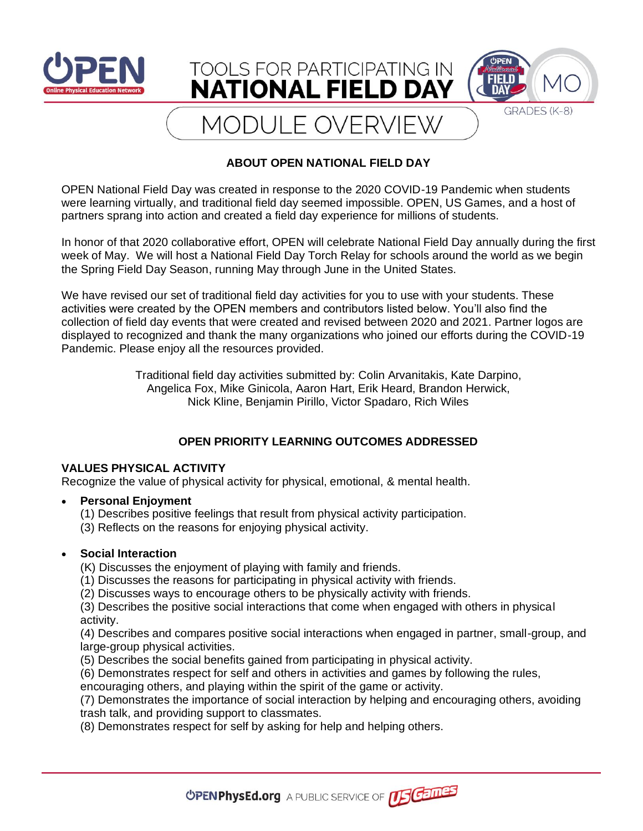

## **ABOUT OPEN NATIONAL FIELD DAY**

OPEN National Field Day was created in response to the 2020 COVID-19 Pandemic when students were learning virtually, and traditional field day seemed impossible. OPEN, US Games, and a host of partners sprang into action and created a field day experience for millions of students.

In honor of that 2020 collaborative effort, OPEN will celebrate National Field Day annually during the first week of May. We will host a National Field Day Torch Relay for schools around the world as we begin the Spring Field Day Season, running May through June in the United States.

We have revised our set of traditional field day activities for you to use with your students. These activities were created by the OPEN members and contributors listed below. You'll also find the collection of field day events that were created and revised between 2020 and 2021. Partner logos are displayed to recognized and thank the many organizations who joined our efforts during the COVID-19 Pandemic. Please enjoy all the resources provided.

> Traditional field day activities submitted by: Colin Arvanitakis, Kate Darpino, Angelica Fox, Mike Ginicola, Aaron Hart, Erik Heard, Brandon Herwick, Nick Kline, Benjamin Pirillo, Victor Spadaro, Rich Wiles

# **OPEN PRIORITY LEARNING OUTCOMES ADDRESSED**

### **VALUES PHYSICAL ACTIVITY**

Recognize the value of physical activity for physical, emotional, & mental health.

### • **Personal Enjoyment**

- (1) Describes positive feelings that result from physical activity participation.
- (3) Reflects on the reasons for enjoying physical activity.

## • **Social Interaction**

(K) Discusses the enjoyment of playing with family and friends.

- (1) Discusses the reasons for participating in physical activity with friends.
- (2) Discusses ways to encourage others to be physically activity with friends.

(3) Describes the positive social interactions that come when engaged with others in physical activity.

(4) Describes and compares positive social interactions when engaged in partner, small-group, and large-group physical activities.

(5) Describes the social benefits gained from participating in physical activity.

(6) Demonstrates respect for self and others in activities and games by following the rules,

encouraging others, and playing within the spirit of the game or activity.

(7) Demonstrates the importance of social interaction by helping and encouraging others, avoiding trash talk, and providing support to classmates.

(8) Demonstrates respect for self by asking for help and helping others.